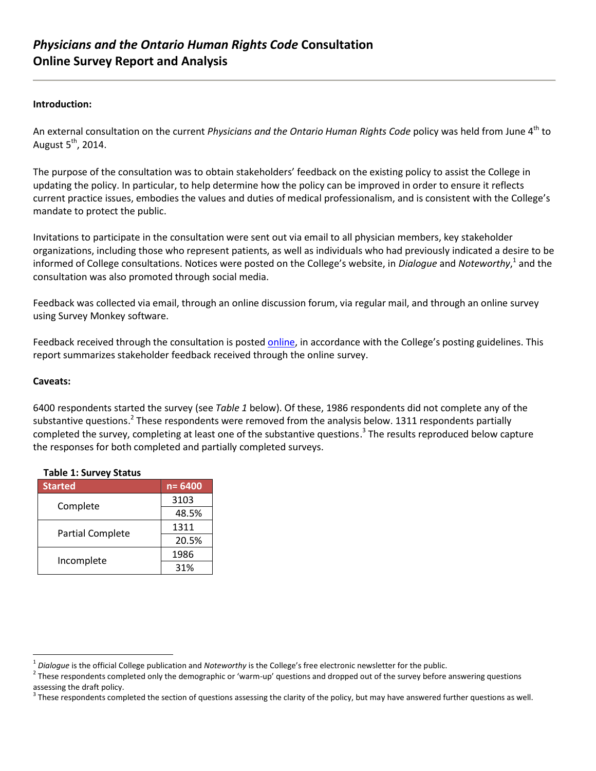### **Introduction:**

An external consultation on the current *Physicians and the Ontario Human Rights Code* policy was held from June 4<sup>th</sup> to August 5<sup>th</sup>, 2014.

The purpose of the consultation was to obtain stakeholders' feedback on the existing policy to assist the College in updating the policy. In particular, to help determine how the policy can be improved in order to ensure it reflects current practice issues, embodies the values and duties of medical professionalism, and is consistent with the College's mandate to protect the public.

Invitations to participate in the consultation were sent out via email to all physician members, key stakeholder organizations, including those who represent patients, as well as individuals who had previously indicated a desire to be informed of College consultations. Notices were posted on the College's website, in *Dialogue* and *Noteworthy*,<sup>1</sup> and the consultation was also promoted through social media.

Feedback was collected via email, through an online discussion forum, via regular mail, and through an online survey using Survey Monkey software.

Feedback received through the consultation is posted [online,](http://policyconsult.cpso.on.ca/?page_id=3405) in accordance with the College's posting guidelines. This report summarizes stakeholder feedback received through the online survey.

### **Caveats:**

 $\overline{a}$ 

6400 respondents started the survey (see *Table 1* below). Of these, 1986 respondents did not complete any of the substantive questions.<sup>2</sup> These respondents were removed from the analysis below. 1311 respondents partially completed the survey, completing at least one of the substantive questions. 3 The results reproduced below capture the responses for both completed and partially completed surveys.

| rapic 1. Jurvey Julius  |            |  |
|-------------------------|------------|--|
| <b>Started</b>          | $n = 6400$ |  |
| Complete                | 3103       |  |
|                         | 48.5%      |  |
| <b>Partial Complete</b> | 1311       |  |
|                         | 20.5%      |  |
| Incomplete              | 1986       |  |
|                         | 31%        |  |

### **Table 1: Survey Status**

<sup>1</sup> *Dialogue* is the official College publication and *Noteworthy* is the College's free electronic newsletter for the public.

<sup>&</sup>lt;sup>2</sup> These respondents completed only the demographic or 'warm-up' questions and dropped out of the survey before answering questions assessing the draft policy.

 $3$  These respondents completed the section of questions assessing the clarity of the policy, but may have answered further questions as well.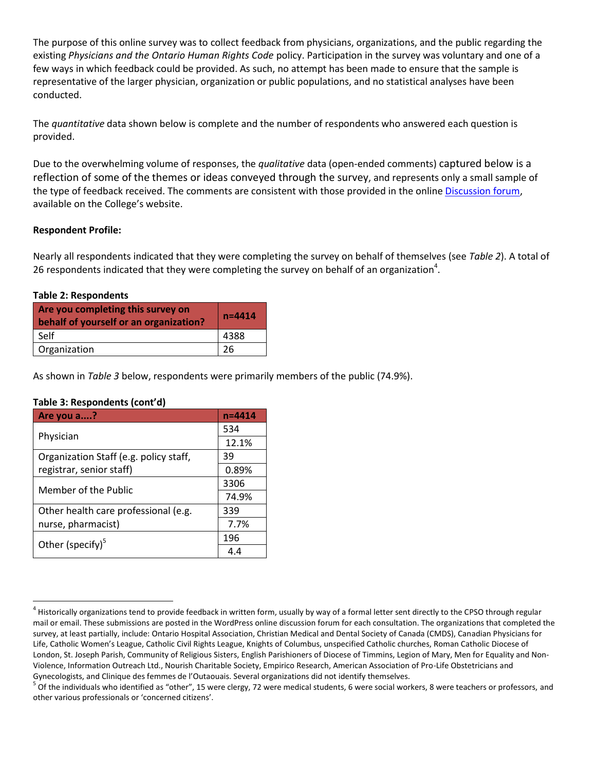The purpose of this online survey was to collect feedback from physicians, organizations, and the public regarding the existing *Physicians and the Ontario Human Rights Code* policy. Participation in the survey was voluntary and one of a few ways in which feedback could be provided. As such, no attempt has been made to ensure that the sample is representative of the larger physician, organization or public populations, and no statistical analyses have been conducted.

The *quantitative* data shown below is complete and the number of respondents who answered each question is provided.

Due to the overwhelming volume of responses, the *qualitative* data (open-ended comments) captured below is a reflection of some of the themes or ideas conveyed through the survey, and represents only a small sample of the type of feedback received. The comments are consistent with those provided in the online [Discussion forum,](http://policyconsult.cpso.on.ca/?page_id=3405) available on the College's website.

## **Respondent Profile:**

Nearly all respondents indicated that they were completing the survey on behalf of themselves (see *Table 2*). A total of 26 respondents indicated that they were completing the survey on behalf of an organization<sup>4</sup>.

### **Table 2: Respondents**

| Are you completing this survey on<br>behalf of yourself or an organization? | $n = 4414$ |
|-----------------------------------------------------------------------------|------------|
| Self                                                                        | 4388       |
| Organization                                                                |            |

As shown in *Table 3* below, respondents were primarily members of the public (74.9%).

### **Table 3: Respondents (cont'd)**

| Are you a?                                                         | n=4414 |
|--------------------------------------------------------------------|--------|
|                                                                    | 534    |
| Physician                                                          | 12.1%  |
| Organization Staff (e.g. policy staff,<br>registrar, senior staff) | 39     |
|                                                                    | 0.89%  |
| Member of the Public                                               | 3306   |
|                                                                    | 74.9%  |
| Other health care professional (e.g.                               | 339    |
| nurse, pharmacist)                                                 | 7.7%   |
| Other (specify) $5$                                                | 196    |
|                                                                    | 4.4    |

 $^4$  Historically organizations tend to provide feedback in written form, usually by way of a formal letter sent directly to the CPSO through regular mail or email. These submissions are posted in the WordPress online discussion forum for each consultation. The organizations that completed the survey, at least partially, include: Ontario Hospital Association, Christian Medical and Dental Society of Canada (CMDS), Canadian Physicians for Life, Catholic Women's League, Catholic Civil Rights League, Knights of Columbus, unspecified Catholic churches, Roman Catholic Diocese of London, St. Joseph Parish, Community of Religious Sisters, English Parishioners of Diocese of Timmins, Legion of Mary, Men for Equality and Non-Violence, Information Outreach Ltd., Nourish Charitable Society, Empirico Research, American Association of Pro-Life Obstetricians and Gynecologists, and Clinique des femmes de l'Outaouais. Several organizations did not identify themselves.

<sup>&</sup>lt;sup>5</sup> Of the individuals who identified as "other", 15 were clergy, 72 were medical students, 6 were social workers, 8 were teachers or professors, and other various professionals or 'concerned citizens'.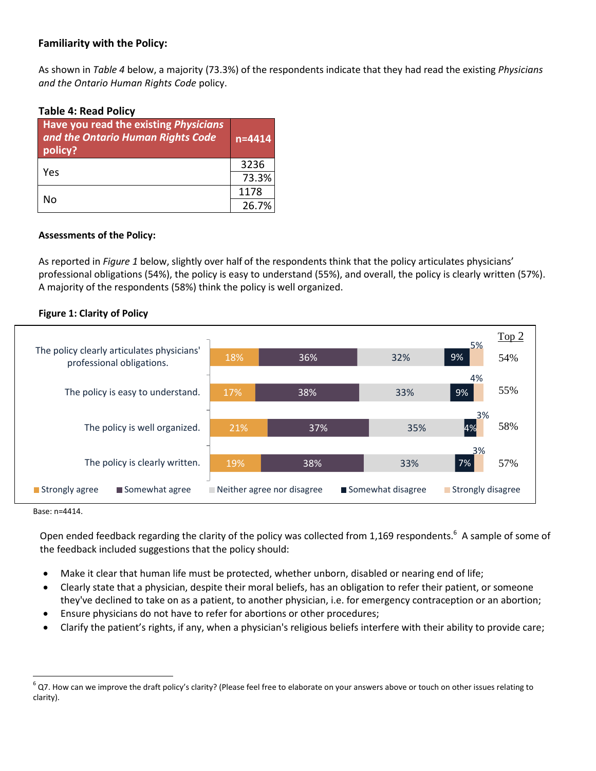# **Familiarity with the Policy:**

As shown in *Table 4* below, a majority (73.3%) of the respondents indicate that they had read the existing *Physicians and the Ontario Human Rights Code* policy.

## **Table 4: Read Policy**

| Have you read the existing Physicians<br>and the Ontario Human Rights Code<br>policy? | $n = 4414$ |
|---------------------------------------------------------------------------------------|------------|
| Yes                                                                                   | 3236       |
|                                                                                       | 73.3%      |
| N٥                                                                                    | 1178       |
|                                                                                       | 26.7%      |

## **Assessments of the Policy:**

As reported in *Figure 1* below, slightly over half of the respondents think that the policy articulates physicians' professional obligations (54%), the policy is easy to understand (55%), and overall, the policy is clearly written (57%). A majority of the respondents (58%) think the policy is well organized.

## **Figure 1: Clarity of Policy**



Base: n=4414.

 $\overline{a}$ 

Open ended feedback regarding the clarity of the policy was collected from 1,169 respondents.<sup>6</sup> A sample of some of the feedback included suggestions that the policy should:

- Make it clear that human life must be protected, whether unborn, disabled or nearing end of life;
- Clearly state that a physician, despite their moral beliefs, has an obligation to refer their patient, or someone they've declined to take on as a patient, to another physician, i.e. for emergency contraception or an abortion;
- Ensure physicians do not have to refer for abortions or other procedures;
- Clarify the patient's rights, if any, when a physician's religious beliefs interfere with their ability to provide care;

 $^6$  Q7. How can we improve the draft policy's clarity? (Please feel free to elaborate on your answers above or touch on other issues relating to clarity).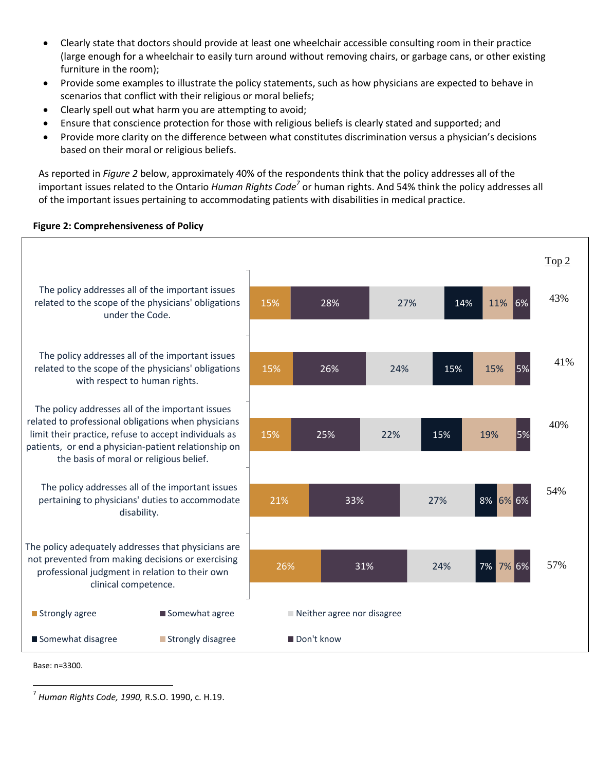- Clearly state that doctors should provide at least one wheelchair accessible consulting room in their practice (large enough for a wheelchair to easily turn around without removing chairs, or garbage cans, or other existing furniture in the room);
- Provide some examples to illustrate the policy statements, such as how physicians are expected to behave in scenarios that conflict with their religious or moral beliefs;
- Clearly spell out what harm you are attempting to avoid;
- Ensure that conscience protection for those with religious beliefs is clearly stated and supported; and
- Provide more clarity on the difference between what constitutes discrimination versus a physician's decisions based on their moral or religious beliefs.

As reported in *Figure 2* below, approximately 40% of the respondents think that the policy addresses all of the important issues related to the Ontario *Human Rights Code<sup>7</sup>* or human rights. And 54% think the policy addresses all of the important issues pertaining to accommodating patients with disabilities in medical practice.

## **Figure 2: Comprehensiveness of Policy**



Base: n=3300.

<sup>7</sup> *Human Rights Code, 1990,* R.S.O. 1990, c. H.19.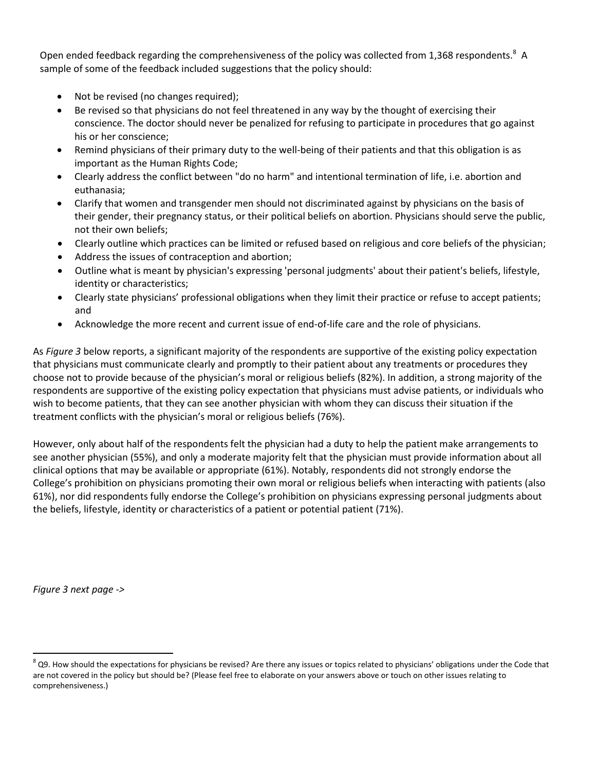Open ended feedback regarding the comprehensiveness of the policy was collected from 1,368 respondents.<sup>8</sup> A sample of some of the feedback included suggestions that the policy should:

- Not be revised (no changes required);
- Be revised so that physicians do not feel threatened in any way by the thought of exercising their conscience. The doctor should never be penalized for refusing to participate in procedures that go against his or her conscience;
- Remind physicians of their primary duty to the well-being of their patients and that this obligation is as important as the Human Rights Code;
- Clearly address the conflict between "do no harm" and intentional termination of life, i.e. abortion and euthanasia;
- Clarify that women and transgender men should not discriminated against by physicians on the basis of their gender, their pregnancy status, or their political beliefs on abortion. Physicians should serve the public, not their own beliefs;
- Clearly outline which practices can be limited or refused based on religious and core beliefs of the physician;
- Address the issues of contraception and abortion;
- Outline what is meant by physician's expressing 'personal judgments' about their patient's beliefs, lifestyle, identity or characteristics;
- Clearly state physicians' professional obligations when they limit their practice or refuse to accept patients; and
- Acknowledge the more recent and current issue of end-of-life care and the role of physicians.

As *Figure 3* below reports, a significant majority of the respondents are supportive of the existing policy expectation that physicians must communicate clearly and promptly to their patient about any treatments or procedures they choose not to provide because of the physician's moral or religious beliefs (82%). In addition, a strong majority of the respondents are supportive of the existing policy expectation that physicians must advise patients, or individuals who wish to become patients, that they can see another physician with whom they can discuss their situation if the treatment conflicts with the physician's moral or religious beliefs (76%).

However, only about half of the respondents felt the physician had a duty to help the patient make arrangements to see another physician (55%), and only a moderate majority felt that the physician must provide information about all clinical options that may be available or appropriate (61%). Notably, respondents did not strongly endorse the College's prohibition on physicians promoting their own moral or religious beliefs when interacting with patients (also 61%), nor did respondents fully endorse the College's prohibition on physicians expressing personal judgments about the beliefs, lifestyle, identity or characteristics of a patient or potential patient (71%).

*Figure 3 next page ->*

 $^8$  Q9. How should the expectations for physicians be revised? Are there any issues or topics related to physicians' obligations under the Code that are not covered in the policy but should be? (Please feel free to elaborate on your answers above or touch on other issues relating to comprehensiveness.)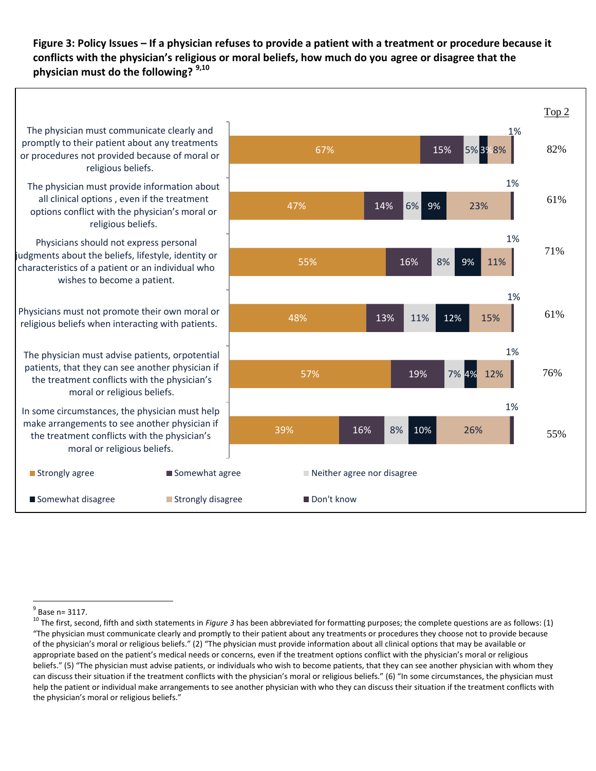**Figure 3: Policy Issues – If a physician refuses to provide a patient with a treatment or procedure because it conflicts with the physician's religious or moral beliefs, how much do you agree or disagree that the physician must do the following? 9,10**



 $\overline{a}$  $<sup>9</sup>$  Base n= 3117.</sup>

<sup>&</sup>lt;sup>10</sup> The first, second, fifth and sixth statements in *Figure 3* has been abbreviated for formatting purposes; the complete questions are as follows: (1) "The physician must communicate clearly and promptly to their patient about any treatments or procedures they choose not to provide because of the physician's moral or religious beliefs." (2) "The physician must provide information about all clinical options that may be available or appropriate based on the patient's medical needs or concerns, even if the treatment options conflict with the physician's moral or religious beliefs." (5) "The physician must advise patients, or individuals who wish to become patients, that they can see another physician with whom they can discuss their situation if the treatment conflicts with the physician's moral or religious beliefs." (6) "In some circumstances, the physician must help the patient or individual make arrangements to see another physician with who they can discuss their situation if the treatment conflicts with the physician's moral or religious beliefs."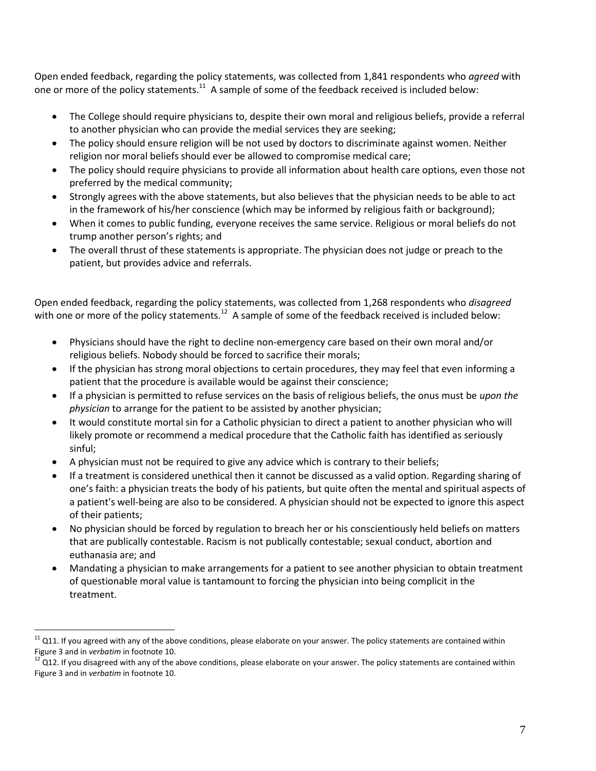Open ended feedback, regarding the policy statements, was collected from 1,841 respondents who *agreed* with one or more of the policy statements.<sup>11</sup> A sample of some of the feedback received is included below:

- The College should require physicians to, despite their own moral and religious beliefs, provide a referral to another physician who can provide the medial services they are seeking;
- The policy should ensure religion will be not used by doctors to discriminate against women. Neither religion nor moral beliefs should ever be allowed to compromise medical care;
- The policy should require physicians to provide all information about health care options, even those not preferred by the medical community;
- Strongly agrees with the above statements, but also believes that the physician needs to be able to act in the framework of his/her conscience (which may be informed by religious faith or background);
- When it comes to public funding, everyone receives the same service. Religious or moral beliefs do not trump another person's rights; and
- The overall thrust of these statements is appropriate. The physician does not judge or preach to the patient, but provides advice and referrals.

Open ended feedback, regarding the policy statements, was collected from 1,268 respondents who *disagreed*  with one or more of the policy statements.<sup>12</sup> A sample of some of the feedback received is included below:

- Physicians should have the right to decline non-emergency care based on their own moral and/or religious beliefs. Nobody should be forced to sacrifice their morals;
- If the physician has strong moral objections to certain procedures, they may feel that even informing a patient that the procedure is available would be against their conscience;
- If a physician is permitted to refuse services on the basis of religious beliefs, the onus must be *upon the physician* to arrange for the patient to be assisted by another physician;
- It would constitute mortal sin for a Catholic physician to direct a patient to another physician who will likely promote or recommend a medical procedure that the Catholic faith has identified as seriously sinful;
- A physician must not be required to give any advice which is contrary to their beliefs;
- If a treatment is considered unethical then it cannot be discussed as a valid option. Regarding sharing of one's faith: a physician treats the body of his patients, but quite often the mental and spiritual aspects of a patient's well-being are also to be considered. A physician should not be expected to ignore this aspect of their patients;
- No physician should be forced by regulation to breach her or his conscientiously held beliefs on matters that are publically contestable. Racism is not publically contestable; sexual conduct, abortion and euthanasia are; and
- Mandating a physician to make arrangements for a patient to see another physician to obtain treatment of questionable moral value is tantamount to forcing the physician into being complicit in the treatment.

 $11$  Q11. If you agreed with any of the above conditions, please elaborate on your answer. The policy statements are contained within Figure 3 and in *verbatim* in footnote 10.

 $^{12}$  Q12. If you disagreed with any of the above conditions, please elaborate on your answer. The policy statements are contained within Figure 3 and in *verbatim* in footnote 10.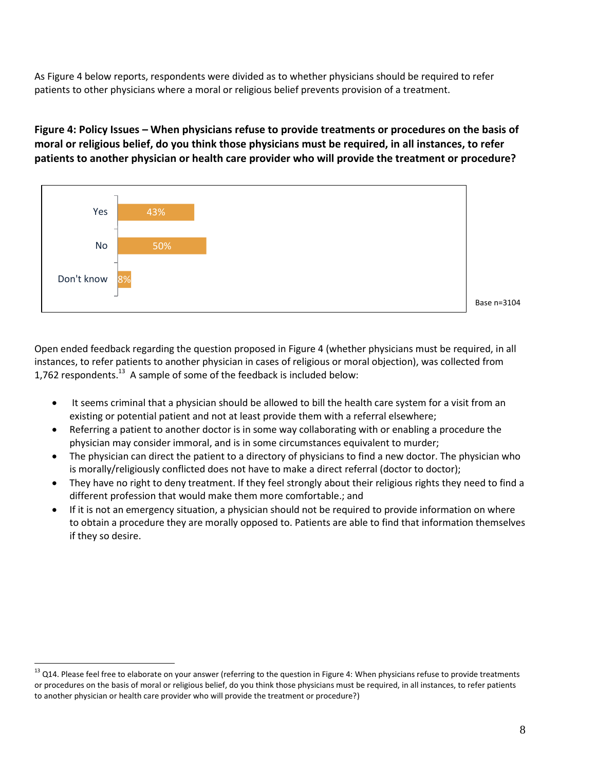As Figure 4 below reports, respondents were divided as to whether physicians should be required to refer patients to other physicians where a moral or religious belief prevents provision of a treatment.

# **Figure 4: Policy Issues – When physicians refuse to provide treatments or procedures on the basis of moral or religious belief, do you think those physicians must be required, in all instances, to refer patients to another physician or health care provider who will provide the treatment or procedure?**



Base n=3104

Open ended feedback regarding the question proposed in Figure 4 (whether physicians must be required, in all instances, to refer patients to another physician in cases of religious or moral objection), was collected from 1,762 respondents.<sup>13</sup> A sample of some of the feedback is included below:

- It seems criminal that a physician should be allowed to bill the health care system for a visit from an existing or potential patient and not at least provide them with a referral elsewhere;
- Referring a patient to another doctor is in some way collaborating with or enabling a procedure the physician may consider immoral, and is in some circumstances equivalent to murder;
- The physician can direct the patient to a directory of physicians to find a new doctor. The physician who is morally/religiously conflicted does not have to make a direct referral (doctor to doctor);
- They have no right to deny treatment. If they feel strongly about their religious rights they need to find a different profession that would make them more comfortable.; and
- If it is not an emergency situation, a physician should not be required to provide information on where to obtain a procedure they are morally opposed to. Patients are able to find that information themselves if they so desire.

<sup>&</sup>lt;sup>13</sup> Q14. Please feel free to elaborate on your answer (referring to the question in Figure 4: When physicians refuse to provide treatments or procedures on the basis of moral or religious belief, do you think those physicians must be required, in all instances, to refer patients to another physician or health care provider who will provide the treatment or procedure?)